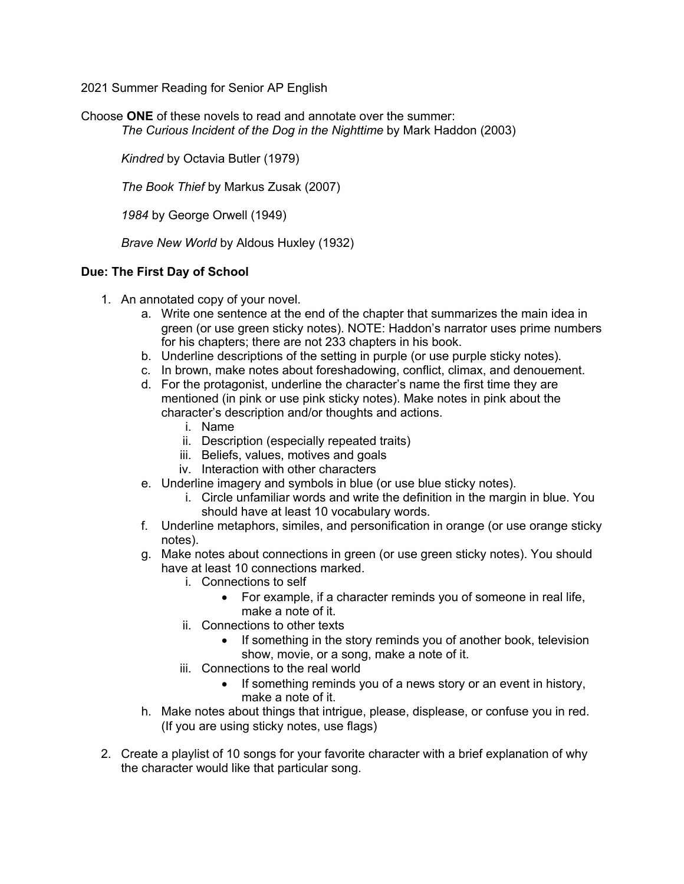2021 Summer Reading for Senior AP English

Choose **ONE** of these novels to read and annotate over the summer: *The Curious Incident of the Dog in the Nighttime* by Mark Haddon (2003)

*Kindred* by Octavia Butler (1979)

*The Book Thief* by Markus Zusak (2007)

*1984* by George Orwell (1949)

*Brave New World* by Aldous Huxley (1932)

## **Due: The First Day of School**

- 1. An annotated copy of your novel.
	- a. Write one sentence at the end of the chapter that summarizes the main idea in green (or use green sticky notes). NOTE: Haddon's narrator uses prime numbers for his chapters; there are not 233 chapters in his book.
	- b. Underline descriptions of the setting in purple (or use purple sticky notes).
	- c. In brown, make notes about foreshadowing, conflict, climax, and denouement.
	- d. For the protagonist, underline the character's name the first time they are mentioned (in pink or use pink sticky notes). Make notes in pink about the character's description and/or thoughts and actions.
		- i. Name
		- ii. Description (especially repeated traits)
		- iii. Beliefs, values, motives and goals
		- iv. Interaction with other characters
	- e. Underline imagery and symbols in blue (or use blue sticky notes).
		- i. Circle unfamiliar words and write the definition in the margin in blue. You should have at least 10 vocabulary words.
	- f. Underline metaphors, similes, and personification in orange (or use orange sticky notes).
	- g. Make notes about connections in green (or use green sticky notes). You should have at least 10 connections marked.
		- i. Connections to self
			- For example, if a character reminds you of someone in real life, make a note of it.
		- ii. Connections to other texts
			- If something in the story reminds you of another book, television show, movie, or a song, make a note of it.
		- iii. Connections to the real world
			- If something reminds you of a news story or an event in history, make a note of it.
	- h. Make notes about things that intrigue, please, displease, or confuse you in red. (If you are using sticky notes, use flags)
- 2. Create a playlist of 10 songs for your favorite character with a brief explanation of why the character would like that particular song.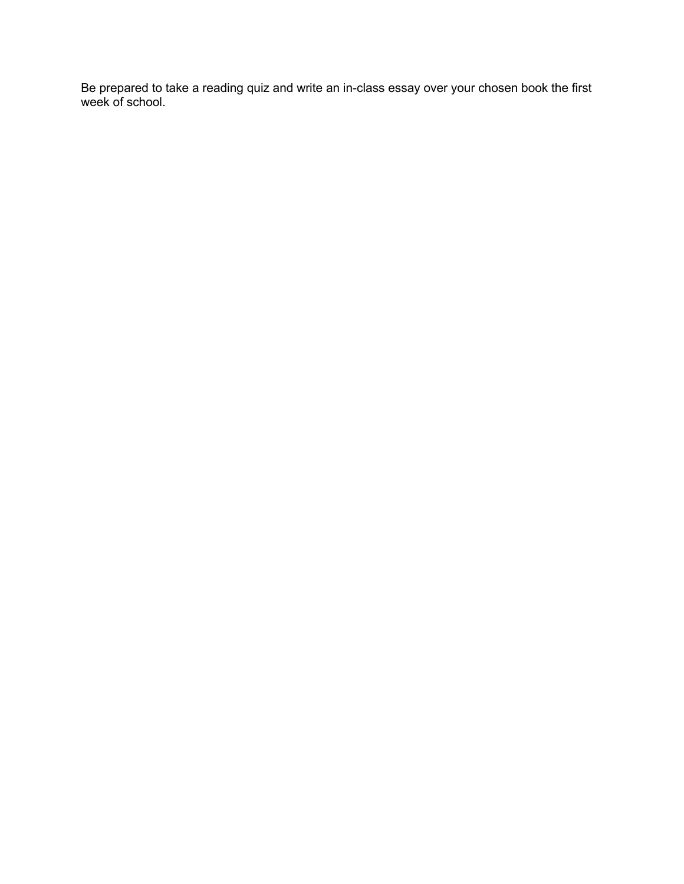Be prepared to take a reading quiz and write an in-class essay over your chosen book the first week of school.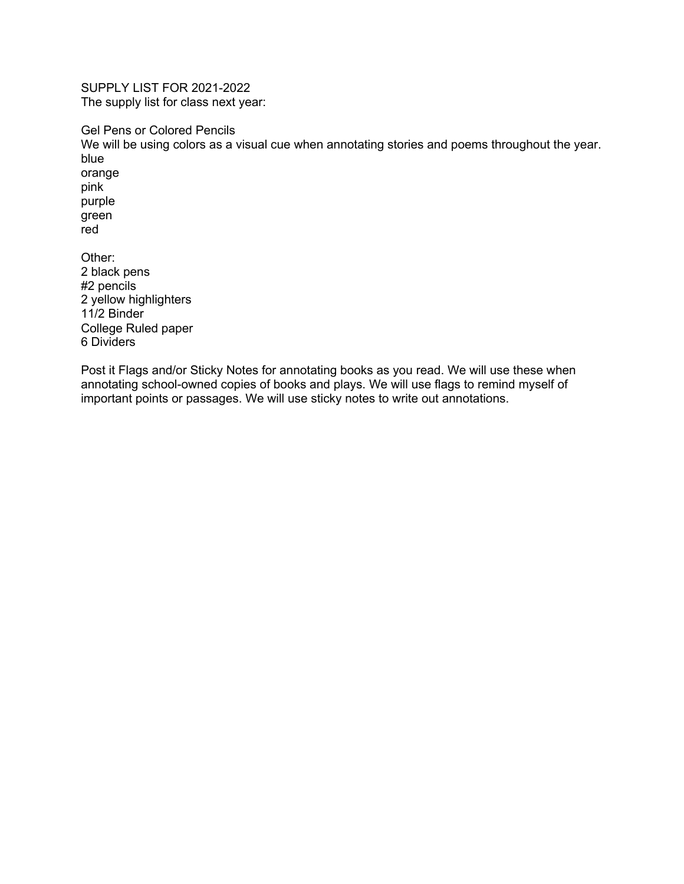SUPPLY LIST FOR 2021-2022 The supply list for class next year:

Gel Pens or Colored Pencils We will be using colors as a visual cue when annotating stories and poems throughout the year. blue orange pink purple green red Other: 2 black pens #2 pencils 2 yellow highlighters 11/2 Binder

College Ruled paper 6 Dividers

Post it Flags and/or Sticky Notes for annotating books as you read. We will use these when annotating school-owned copies of books and plays. We will use flags to remind myself of important points or passages. We will use sticky notes to write out annotations.